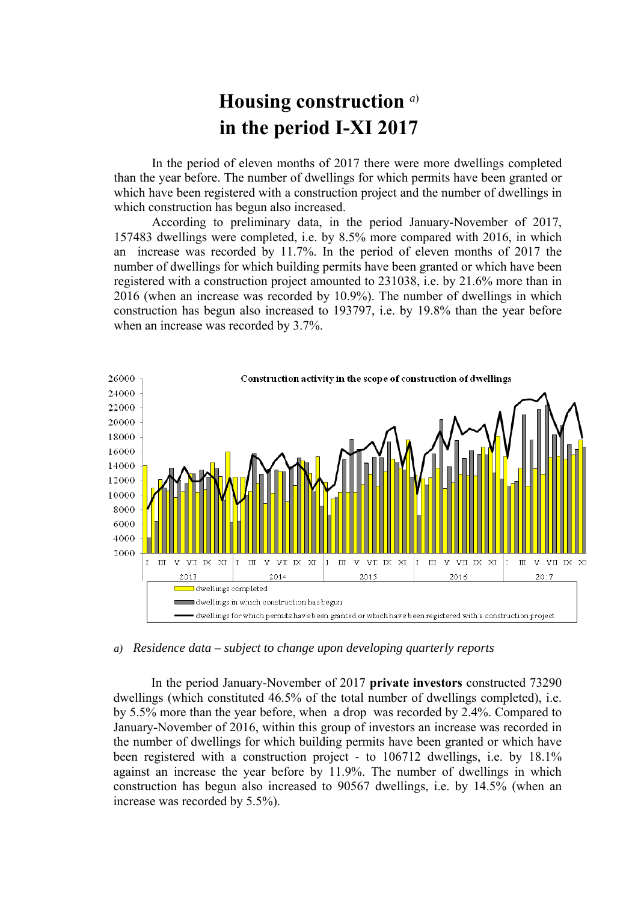## **Housing construction** *a*) **in the period I-XI 2017**

In the period of eleven months of 2017 there were more dwellings completed than the year before. The number of dwellings for which permits have been granted or which have been registered with a construction project and the number of dwellings in which construction has begun also increased.

According to preliminary data, in the period January-November of 2017, 157483 dwellings were completed, i.e. by 8.5% more compared with 2016, in which an increase was recorded by 11.7%. In the period of eleven months of 2017 the number of dwellings for which building permits have been granted or which have been registered with a construction project amounted to 231038, i.e. by 21.6% more than in 2016 (when an increase was recorded by 10.9%). The number of dwellings in which construction has begun also increased to 193797, i.e. by 19.8% than the year before when an increase was recorded by 3.7%.



## *a) Residence data – subject to change upon developing quarterly reports*

In the period January-November of 2017 **private investors** constructed 73290 dwellings (which constituted 46.5% of the total number of dwellings completed), i.e. by 5.5% more than the year before, when a drop was recorded by 2.4%. Compared to January-November of 2016, within this group of investors an increase was recorded in the number of dwellings for which building permits have been granted or which have been registered with a construction project - to 106712 dwellings, i.e. by 18.1% against an increase the year before by 11.9%. The number of dwellings in which construction has begun also increased to 90567 dwellings, i.e. by 14.5% (when an increase was recorded by 5.5%).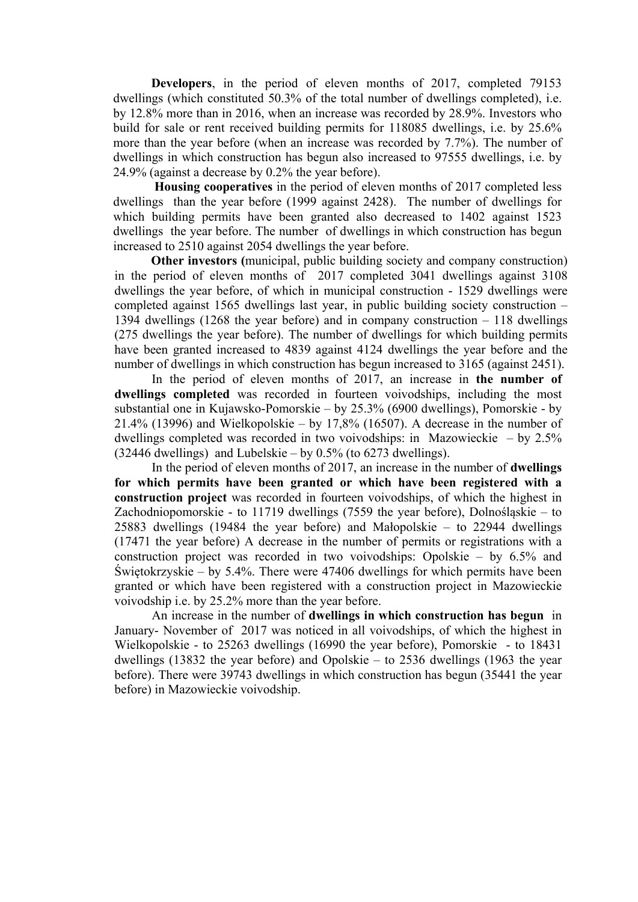**Developers**, in the period of eleven months of 2017, completed 79153 dwellings (which constituted 50.3% of the total number of dwellings completed), i.e. by 12.8% more than in 2016, when an increase was recorded by 28.9%. Investors who build for sale or rent received building permits for 118085 dwellings, i.e. by 25.6% more than the year before (when an increase was recorded by 7.7%). The number of dwellings in which construction has begun also increased to 97555 dwellings, i.e. by 24.9% (against a decrease by 0.2% the year before).

**Housing cooperatives** in the period of eleven months of 2017 completed less dwellings than the year before (1999 against 2428). The number of dwellings for which building permits have been granted also decreased to 1402 against 1523 dwellings the year before. The number of dwellings in which construction has begun increased to 2510 against 2054 dwellings the year before.

 **Other investors (**municipal, public building society and company construction) in the period of eleven months of 2017 completed 3041 dwellings against 3108 dwellings the year before, of which in municipal construction - 1529 dwellings were completed against 1565 dwellings last year, in public building society construction – 1394 dwellings (1268 the year before) and in company construction – 118 dwellings (275 dwellings the year before). The number of dwellings for which building permits have been granted increased to 4839 against 4124 dwellings the year before and the number of dwellings in which construction has begun increased to 3165 (against 2451).

In the period of eleven months of 2017, an increase in **the number of dwellings completed** was recorded in fourteen voivodships, including the most substantial one in Kujawsko-Pomorskie – by 25.3% (6900 dwellings), Pomorskie - by 21.4% (13996) and Wielkopolskie – by 17,8% (16507). A decrease in the number of dwellings completed was recorded in two voivodships: in Mazowieckie – by  $2.5\%$  $(32446$  dwellings) and Lubelskie – by 0.5% (to 6273 dwellings).

In the period of eleven months of 2017, an increase in the number of **dwellings for which permits have been granted or which have been registered with a construction project** was recorded in fourteen voivodships, of which the highest in Zachodniopomorskie - to 11719 dwellings (7559 the year before), Dolnośląskie – to 25883 dwellings (19484 the year before) and Małopolskie – to 22944 dwellings (17471 the year before) A decrease in the number of permits or registrations with a construction project was recorded in two voivodships: Opolskie – by 6.5% and Świętokrzyskie – by 5.4%. There were 47406 dwellings for which permits have been granted or which have been registered with a construction project in Mazowieckie voivodship i.e. by 25.2% more than the year before.

An increase in the number of **dwellings in which construction has begun** in January- November of 2017 was noticed in all voivodships, of which the highest in Wielkopolskie - to 25263 dwellings (16990 the year before), Pomorskie - to 18431 dwellings (13832 the year before) and Opolskie – to 2536 dwellings (1963 the year before). There were 39743 dwellings in which construction has begun (35441 the year before) in Mazowieckie voivodship.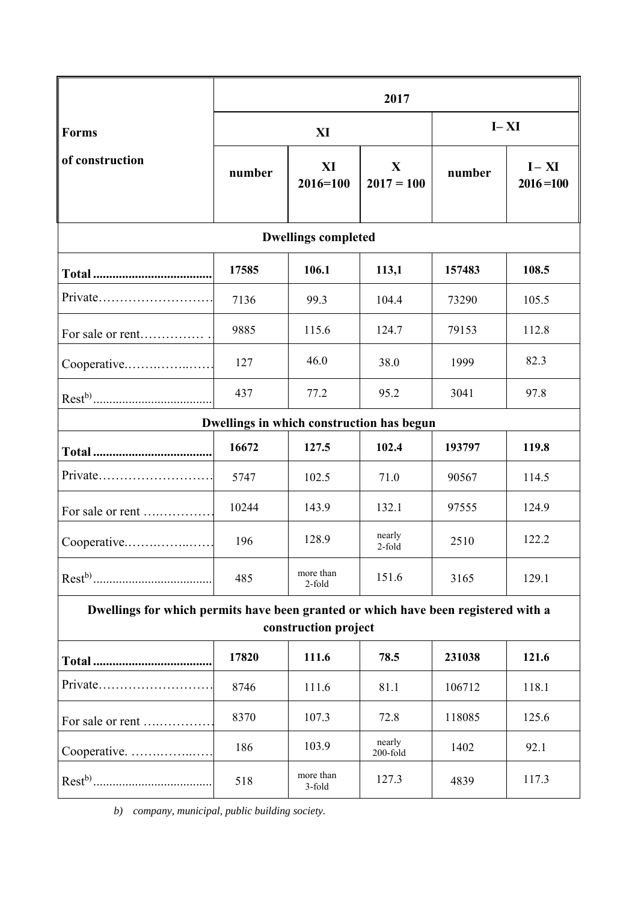|                                                                                                            | 2017   |                     |                       |          |                          |
|------------------------------------------------------------------------------------------------------------|--------|---------------------|-----------------------|----------|--------------------------|
| <b>Forms</b><br>of construction                                                                            | XI     |                     |                       | $I - XI$ |                          |
|                                                                                                            | number | XI<br>$2016 = 100$  | X<br>$2017 = 100$     | number   | $I - XI$<br>$2016 = 100$ |
| <b>Dwellings completed</b>                                                                                 |        |                     |                       |          |                          |
|                                                                                                            | 17585  | 106.1               | 113,1                 | 157483   | 108.5                    |
| Private                                                                                                    | 7136   | 99.3                | 104.4                 | 73290    | 105.5                    |
| For sale or rent                                                                                           | 9885   | 115.6               | 124.7                 | 79153    | 112.8                    |
| Cooperative                                                                                                | 127    | 46.0                | 38.0                  | 1999     | 82.3                     |
|                                                                                                            | 437    | 77.2                | 95.2                  | 3041     | 97.8                     |
| Dwellings in which construction has begun                                                                  |        |                     |                       |          |                          |
|                                                                                                            | 16672  | 127.5               | 102.4                 | 193797   | 119.8                    |
|                                                                                                            | 5747   | 102.5               | 71.0                  | 90567    | 114.5                    |
| For sale or rent                                                                                           | 10244  | 143.9               | 132.1                 | 97555    | 124.9                    |
| Cooperative                                                                                                | 196    | 128.9               | nearly<br>2-fold      | 2510     | 122.2                    |
|                                                                                                            | 485    | more than<br>2-fold | 151.6                 | 3165     | 129.1                    |
| Dwellings for which permits have been granted or which have been registered with a<br>construction project |        |                     |                       |          |                          |
|                                                                                                            | 17820  | 111.6               | 78.5                  | 231038   | 121.6                    |
| Private                                                                                                    | 8746   | 111.6               | 81.1                  | 106712   | 118.1                    |
| For sale or rent                                                                                           | 8370   | 107.3               | 72.8                  | 118085   | 125.6                    |
| Cooperative.                                                                                               | 186    | 103.9               | nearly<br>$200$ -fold | 1402     | 92.1                     |
|                                                                                                            | 518    | more than<br>3-fold | 127.3                 | 4839     | 117.3                    |

*b) company, municipal, public building society.*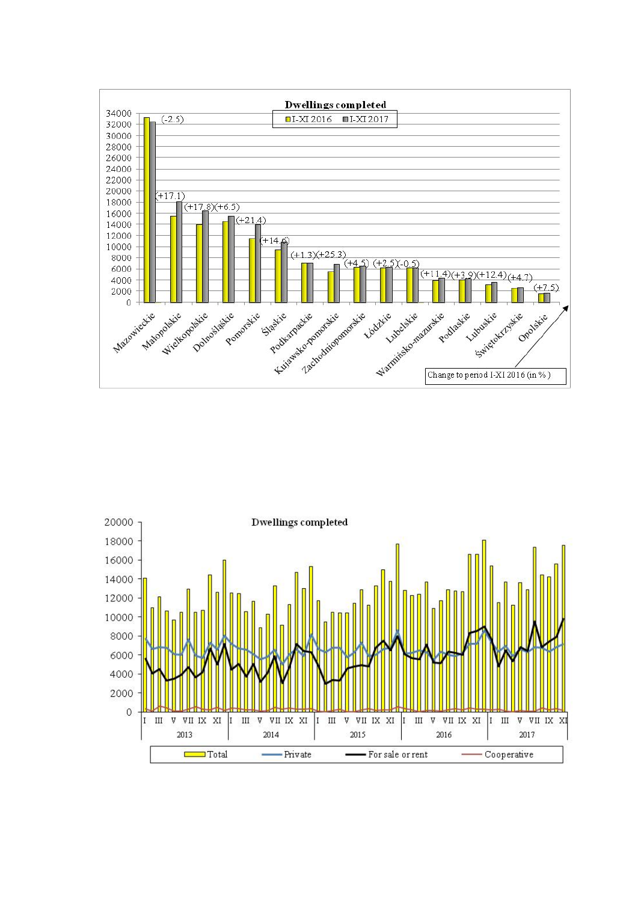